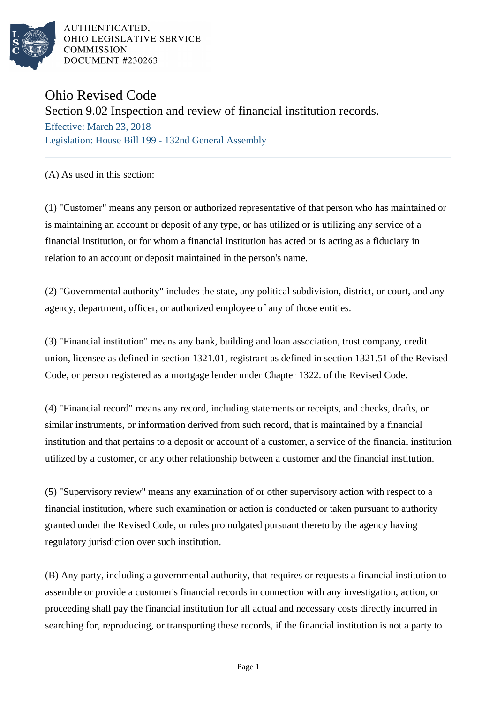

AUTHENTICATED, OHIO LEGISLATIVE SERVICE **COMMISSION DOCUMENT #230263** 

## Ohio Revised Code

Section 9.02 Inspection and review of financial institution records.

Effective: March 23, 2018 Legislation: House Bill 199 - 132nd General Assembly

(A) As used in this section:

(1) "Customer" means any person or authorized representative of that person who has maintained or is maintaining an account or deposit of any type, or has utilized or is utilizing any service of a financial institution, or for whom a financial institution has acted or is acting as a fiduciary in relation to an account or deposit maintained in the person's name.

(2) "Governmental authority" includes the state, any political subdivision, district, or court, and any agency, department, officer, or authorized employee of any of those entities.

(3) "Financial institution" means any bank, building and loan association, trust company, credit union, licensee as defined in section 1321.01, registrant as defined in section 1321.51 of the Revised Code, or person registered as a mortgage lender under Chapter 1322. of the Revised Code.

(4) "Financial record" means any record, including statements or receipts, and checks, drafts, or similar instruments, or information derived from such record, that is maintained by a financial institution and that pertains to a deposit or account of a customer, a service of the financial institution utilized by a customer, or any other relationship between a customer and the financial institution.

(5) "Supervisory review" means any examination of or other supervisory action with respect to a financial institution, where such examination or action is conducted or taken pursuant to authority granted under the Revised Code, or rules promulgated pursuant thereto by the agency having regulatory jurisdiction over such institution.

(B) Any party, including a governmental authority, that requires or requests a financial institution to assemble or provide a customer's financial records in connection with any investigation, action, or proceeding shall pay the financial institution for all actual and necessary costs directly incurred in searching for, reproducing, or transporting these records, if the financial institution is not a party to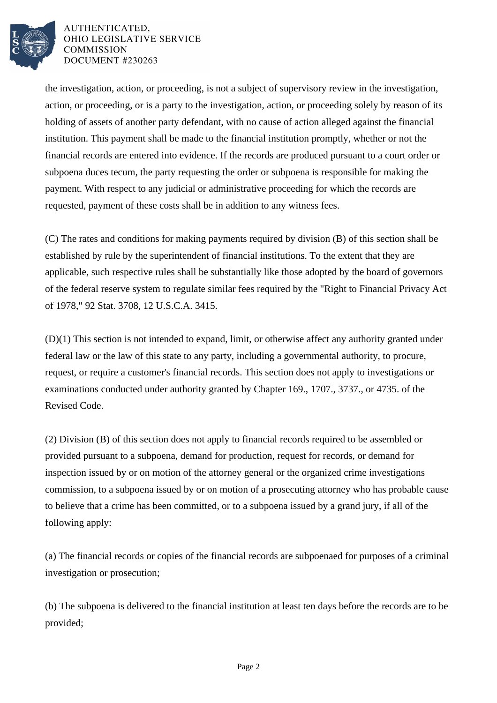

## AUTHENTICATED. OHIO LEGISLATIVE SERVICE **COMMISSION DOCUMENT #230263**

the investigation, action, or proceeding, is not a subject of supervisory review in the investigation, action, or proceeding, or is a party to the investigation, action, or proceeding solely by reason of its holding of assets of another party defendant, with no cause of action alleged against the financial institution. This payment shall be made to the financial institution promptly, whether or not the financial records are entered into evidence. If the records are produced pursuant to a court order or subpoena duces tecum, the party requesting the order or subpoena is responsible for making the payment. With respect to any judicial or administrative proceeding for which the records are requested, payment of these costs shall be in addition to any witness fees.

(C) The rates and conditions for making payments required by division (B) of this section shall be established by rule by the superintendent of financial institutions. To the extent that they are applicable, such respective rules shall be substantially like those adopted by the board of governors of the federal reserve system to regulate similar fees required by the "Right to Financial Privacy Act of 1978," 92 Stat. 3708, 12 U.S.C.A. 3415.

(D)(1) This section is not intended to expand, limit, or otherwise affect any authority granted under federal law or the law of this state to any party, including a governmental authority, to procure, request, or require a customer's financial records. This section does not apply to investigations or examinations conducted under authority granted by Chapter 169., 1707., 3737., or 4735. of the Revised Code.

(2) Division (B) of this section does not apply to financial records required to be assembled or provided pursuant to a subpoena, demand for production, request for records, or demand for inspection issued by or on motion of the attorney general or the organized crime investigations commission, to a subpoena issued by or on motion of a prosecuting attorney who has probable cause to believe that a crime has been committed, or to a subpoena issued by a grand jury, if all of the following apply:

(a) The financial records or copies of the financial records are subpoenaed for purposes of a criminal investigation or prosecution;

(b) The subpoena is delivered to the financial institution at least ten days before the records are to be provided;